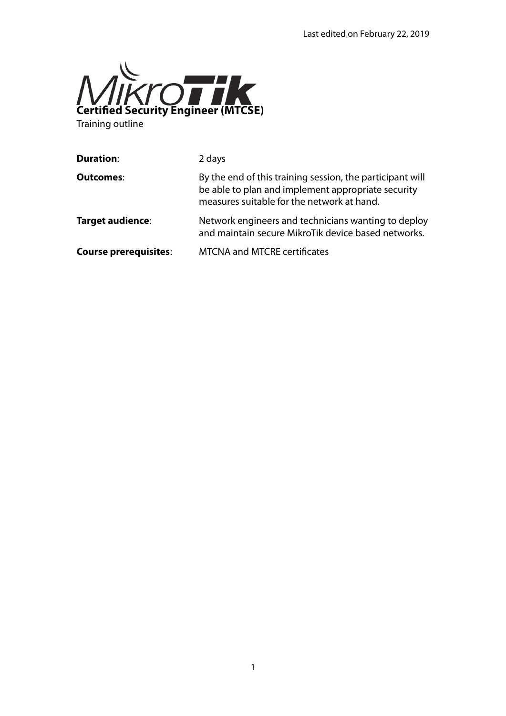

Training outline

| <b>Duration:</b>             | 2 days                                                                                                                                                        |
|------------------------------|---------------------------------------------------------------------------------------------------------------------------------------------------------------|
| <b>Outcomes:</b>             | By the end of this training session, the participant will<br>be able to plan and implement appropriate security<br>measures suitable for the network at hand. |
| Target audience:             | Network engineers and technicians wanting to deploy<br>and maintain secure MikroTik device based networks.                                                    |
| <b>Course prerequisites:</b> | <b>MTCNA and MTCRE certificates</b>                                                                                                                           |